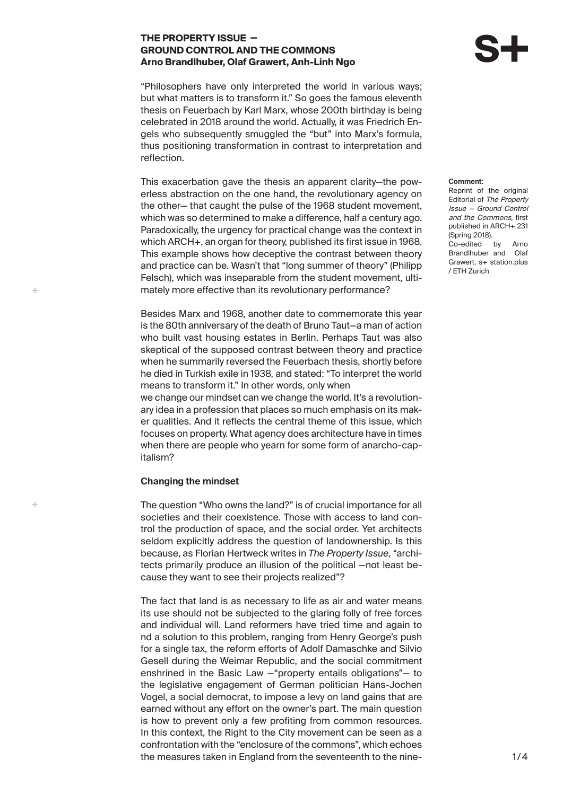## **THE PROPERTY ISSUE — GROUND CONTROL AND THE COMMONS Arno Brandlhuber, Olaf Grawert, Anh-Linh Ngo**

"Philosophers have only interpreted the world in various ways; but what matters is to transform it." So goes the famous eleventh thesis on Feuerbach by Karl Marx, whose 200th birthday is being celebrated in 2018 around the world. Actually, it was Friedrich Engels who subsequently smuggled the "but" into Marx's formula, thus positioning transformation in contrast to interpretation and reflection.

This exacerbation gave the thesis an apparent clarity—the powerless abstraction on the one hand, the revolutionary agency on the other— that caught the pulse of the 1968 student movement, which was so determined to make a difference, half a century ago. Paradoxically, the urgency for practical change was the context in which ARCH+, an organ for theory, published its first issue in 1968. This example shows how deceptive the contrast between theory and practice can be. Wasn't that "long summer of theory" (Philipp Felsch), which was inseparable from the student movement, ultimately more effective than its revolutionary performance?

Besides Marx and 1968, another date to commemorate this year is the 80th anniversary of the death of Bruno Taut—a man of action who built vast housing estates in Berlin. Perhaps Taut was also skeptical of the supposed contrast between theory and practice when he summarily reversed the Feuerbach thesis, shortly before he died in Turkish exile in 1938, and stated: "To interpret the world means to transform it." In other words, only when we change our mindset can we change the world. It's a revolutionary idea in a profession that places so much emphasis on its maker qualities. And it reflects the central theme of this issue, which focuses on property. What agency does architecture have in times when there are people who yearn for some form of anarcho-capitalism?

## **Changing the mindset**

A.

 $\bar{a}$ 

The question "Who owns the land?" is of crucial importance for all societies and their coexistence. Those with access to land control the production of space, and the social order. Yet architects seldom explicitly address the question of landownership. Is this because, as Florian Hertweck writes in *The Property Issue*, "architects primarily produce an illusion of the political —not least because they want to see their projects realized"?

The fact that land is as necessary to life as air and water means its use should not be subjected to the glaring folly of free forces and individual will. Land reformers have tried time and again to nd a solution to this problem, ranging from Henry George's push for a single tax, the reform efforts of Adolf Damaschke and Silvio Gesell during the Weimar Republic, and the social commitment enshrined in the Basic Law —"property entails obligations"— to the legislative engagement of German politician Hans-Jochen Vogel, a social democrat, to impose a levy on land gains that are earned without any effort on the owner's part. The main question is how to prevent only a few profiting from common resources. In this context, the Right to the City movement can be seen as a confrontation with the "enclosure of the commons", which echoes the measures taken in England from the seventeenth to the nine**Comment:** Reprint of the original Editorial of The Property Issue — Ground Control and the Commons, first published in ARCH+ 231 (Spring 2018). Co-edited by Arno Brandlhuber and Olaf Grawert, s+ station.plus / ETH Zurich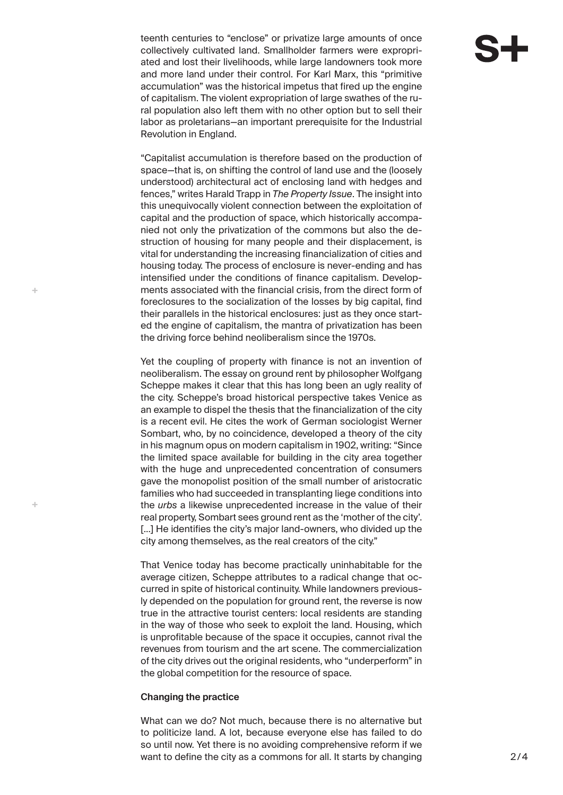teenth centuries to "enclose" or privatize large amounts of once collectively cultivated land. Smallholder farmers were expropriated and lost their livelihoods, while large landowners took more and more land under their control. For Karl Marx, this "primitive accumulation" was the historical impetus that fired up the engine of capitalism. The violent expropriation of large swathes of the rural population also left them with no other option but to sell their labor as proletarians—an important prerequisite for the Industrial Revolution in England.

"Capitalist accumulation is therefore based on the production of space—that is, on shifting the control of land use and the (loosely understood) architectural act of enclosing land with hedges and fences," writes Harald Trapp in *The Property Issue*. The insight into this unequivocally violent connection between the exploitation of capital and the production of space, which historically accompanied not only the privatization of the commons but also the destruction of housing for many people and their displacement, is vital for understanding the increasing financialization of cities and housing today. The process of enclosure is never-ending and has intensified under the conditions of finance capitalism. Developments associated with the financial crisis, from the direct form of foreclosures to the socialization of the losses by big capital, find their parallels in the historical enclosures: just as they once started the engine of capitalism, the mantra of privatization has been the driving force behind neoliberalism since the 1970s.

Yet the coupling of property with finance is not an invention of neoliberalism. The essay on ground rent by philosopher Wolfgang Scheppe makes it clear that this has long been an ugly reality of the city. Scheppe's broad historical perspective takes Venice as an example to dispel the thesis that the financialization of the city is a recent evil. He cites the work of German sociologist Werner Sombart, who, by no coincidence, developed a theory of the city in his magnum opus on modern capitalism in 1902, writing: "Since the limited space available for building in the city area together with the huge and unprecedented concentration of consumers gave the monopolist position of the small number of aristocratic families who had succeeded in transplanting liege conditions into the *urbs* a likewise unprecedented increase in the value of their real property, Sombart sees ground rent as the 'mother of the city'. [...] He identifies the city's major land-owners, who divided up the city among themselves, as the real creators of the city."

That Venice today has become practically uninhabitable for the average citizen, Scheppe attributes to a radical change that occurred in spite of historical continuity. While landowners previously depended on the population for ground rent, the reverse is now true in the attractive tourist centers: local residents are standing in the way of those who seek to exploit the land. Housing, which is unprofitable because of the space it occupies, cannot rival the revenues from tourism and the art scene. The commercialization of the city drives out the original residents, who "underperform" in the global competition for the resource of space.

## **Changing the practice**

d.

 $\bar{a}$ 

What can we do? Not much, because there is no alternative but to politicize land. A lot, because everyone else has failed to do so until now. Yet there is no avoiding comprehensive reform if we want to define the city as a commons for all. It starts by changing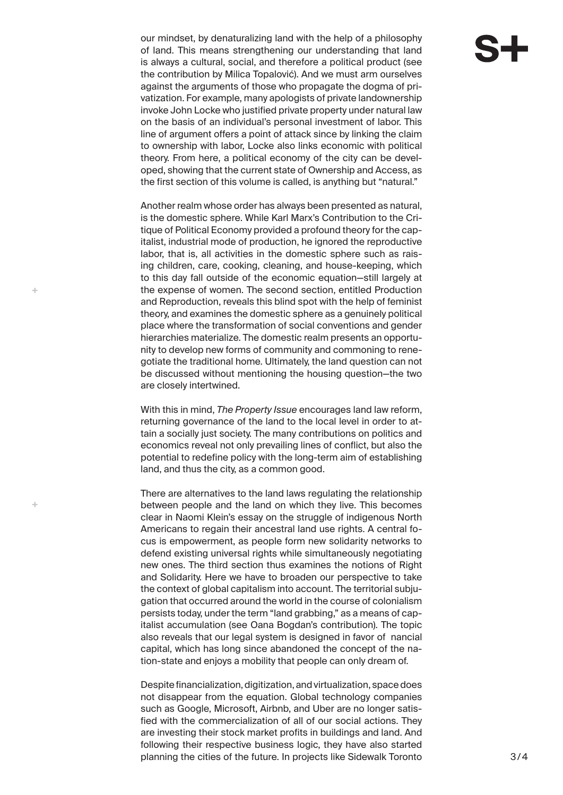our mindset, by denaturalizing land with the help of a philosophy of land. This means strengthening our understanding that land is always a cultural, social, and therefore a political product (see the contribution by Milica Topalović). And we must arm ourselves against the arguments of those who propagate the dogma of privatization. For example, many apologists of private landownership invoke John Locke who justified private property under natural law on the basis of an individual's personal investment of labor. This line of argument offers a point of attack since by linking the claim to ownership with labor, Locke also links economic with political theory. From here, a political economy of the city can be developed, showing that the current state of Ownership and Access, as the first section of this volume is called, is anything but "natural."

Another realm whose order has always been presented as natural, is the domestic sphere. While Karl Marx's Contribution to the Critique of Political Economy provided a profound theory for the capitalist, industrial mode of production, he ignored the reproductive labor, that is, all activities in the domestic sphere such as raising children, care, cooking, cleaning, and house-keeping, which to this day fall outside of the economic equation—still largely at the expense of women. The second section, entitled Production and Reproduction, reveals this blind spot with the help of feminist theory, and examines the domestic sphere as a genuinely political place where the transformation of social conventions and gender hierarchies materialize. The domestic realm presents an opportunity to develop new forms of community and commoning to renegotiate the traditional home. Ultimately, the land question can not be discussed without mentioning the housing question—the two are closely intertwined.

d.

Ą.

With this in mind, *The Property Issue* encourages land law reform, returning governance of the land to the local level in order to attain a socially just society. The many contributions on politics and economics reveal not only prevailing lines of conflict, but also the potential to redefine policy with the long-term aim of establishing land, and thus the city, as a common good.

There are alternatives to the land laws regulating the relationship between people and the land on which they live. This becomes clear in Naomi Klein's essay on the struggle of indigenous North Americans to regain their ancestral land use rights. A central focus is empowerment, as people form new solidarity networks to defend existing universal rights while simultaneously negotiating new ones. The third section thus examines the notions of Right and Solidarity. Here we have to broaden our perspective to take the context of global capitalism into account. The territorial subjugation that occurred around the world in the course of colonialism persists today, under the term "land grabbing," as a means of capitalist accumulation (see Oana Bogdan's contribution). The topic also reveals that our legal system is designed in favor of nancial capital, which has long since abandoned the concept of the nation-state and enjoys a mobility that people can only dream of.

Despite financialization, digitization, and virtualization, space does not disappear from the equation. Global technology companies such as Google, Microsoft, Airbnb, and Uber are no longer satisfied with the commercialization of all of our social actions. They are investing their stock market profits in buildings and land. And following their respective business logic, they have also started planning the cities of the future. In projects like Sidewalk Toronto